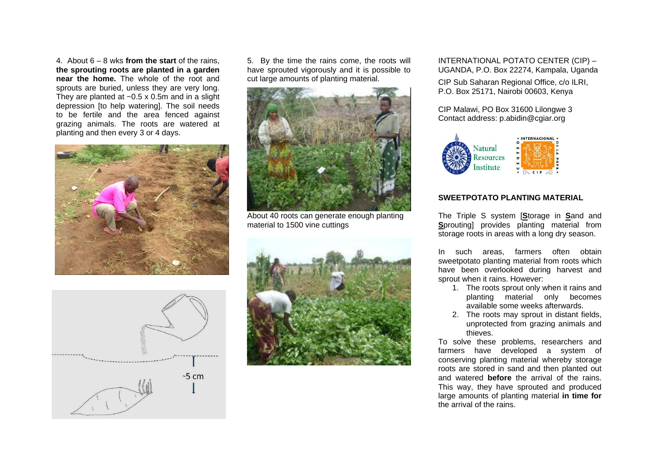4. About 6 – 8 wks **from the start** of the rains, **the sprouting roots are planted in a garden near the home.** The whole of the root and sprouts are buried, unless they are very long. They are planted at  $\sim$  0.5 x 0.5m and in a slight depression [to help watering]. The soil needs to be fertile and the area fenced against grazing animals. The roots are watered at planting and then every 3 or 4 days.



5. By the time the rains come, the roots will have sprouted vigorously and it is possible to cut large amounts of planting material.



About 40 roots can generate enough planting material to 1500 vine cuttings





INTERNATIONAL POTATO CENTER (CIP) – UGANDA, P.O. Box 22274, Kampala, Uganda

CIP Sub Saharan Regional Office, c/o ILRI, P.O. Box 25171, Nairobi 00603, Kenya

CIP Malawi, PO Box 31600 Lilongwe 3 Contact address: p.abidin@cgiar.org



## **SWEETPOTATO PLANTING MATERIAL**

The Triple S system [**S**torage in **S**and and **S**prouting] provides planting material from storage roots in areas with a long dry season.

In such areas, farmers often obtain sweetpotato planting material from roots which have been overlooked during harvest and sprout when it rains. However:

- 1. The roots sprout only when it rains and planting material only becomes available some weeks afterwards.
- 2. The roots may sprout in distant fields, unprotected from grazing animals and thieves.

To solve these problems, researchers and farmers have developed a system of conserving planting material whereby storage roots are stored in sand and then planted out and watered **before** the arrival of the rains. This way, they have sprouted and produced large amounts of planting material **in time for** the arrival of the rains.